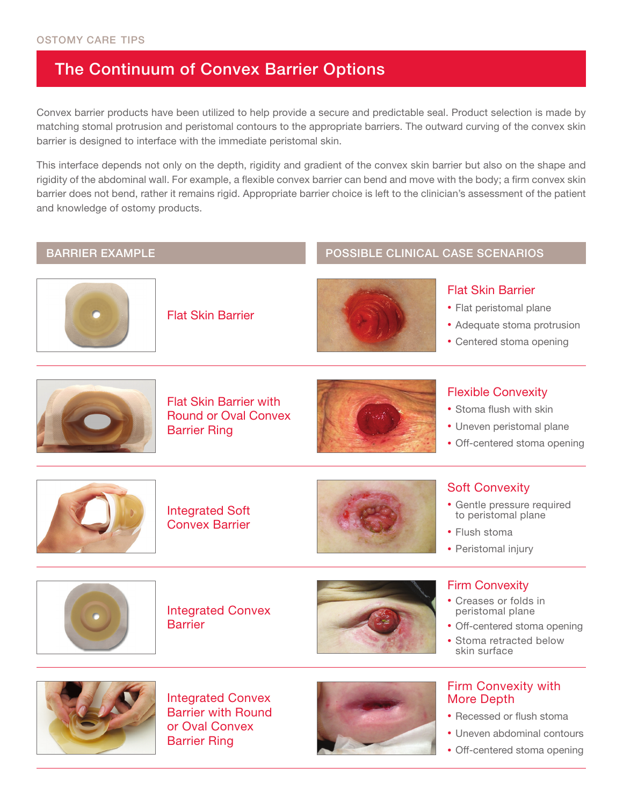## The Continuum of Convex Barrier Options

Convex barrier products have been utilized to help provide a secure and predictable seal. Product selection is made by matching stomal protrusion and peristomal contours to the appropriate barriers. The outward curving of the convex skin barrier is designed to interface with the immediate peristomal skin.

This interface depends not only on the depth, rigidity and gradient of the convex skin barrier but also on the shape and rigidity of the abdominal wall. For example, a flexible convex barrier can bend and move with the body; a firm convex skin barrier does not bend, rather it remains rigid. Appropriate barrier choice is left to the clinician's assessment of the patient and knowledge of ostomy products.

#### BARRIER EXAMPLE **A CONSTRUCTE OF A CONSTRUCT OF A CONSTRUCT** POSSIBLE CLINICAL CASE SCENARIOS



Flat Skin Barrier



## Flat Skin Barrier

- Flat peristomal plane
- Adequate stoma protrusion
- Centered stoma opening



Flat Skin Barrier with Round or Oval Convex Barrier Ring



## Flexible Convexity

- Stoma flush with skin
- Uneven peristomal plane
- Off-centered stoma opening



Integrated Soft Convex Barrier



### Soft Convexity

- Gentle pressure required to peristomal plane
- Flush stoma
- Peristomal injury



Integrated Convex **Barrier** 



#### Firm Convexity

- Creases or folds in peristomal plane
- Off-centered stoma opening
- Stoma retracted below skin surface



Integrated Convex Barrier with Round or Oval Convex Barrier Ring





- Recessed or flush stoma
- Uneven abdominal contours
- Off-centered stoma opening